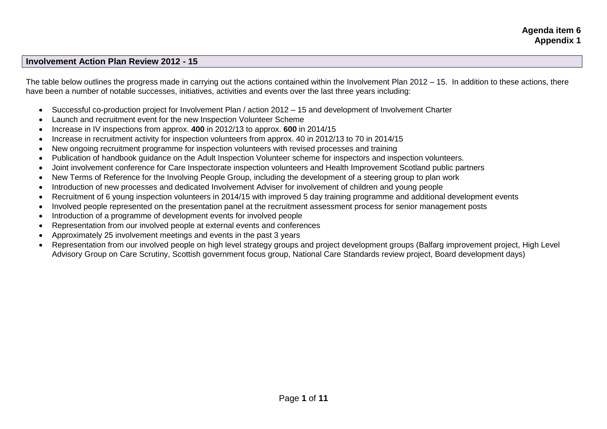# **Involvement Action Plan Review 2012 - 15**

The table below outlines the progress made in carrying out the actions contained within the Involvement Plan 2012 – 15. In addition to these actions, there have been a number of notable successes, initiatives, activities and events over the last three years including:

- Successful co-production project for Involvement Plan / action 2012 15 and development of Involvement Charter
- Launch and recruitment event for the new Inspection Volunteer Scheme
- Increase in IV inspections from approx. **400** in 2012/13 to approx. **600** in 2014/15
- Increase in recruitment activity for inspection volunteers from approx. 40 in 2012/13 to 70 in 2014/15
- New ongoing recruitment programme for inspection volunteers with revised processes and training
- Publication of handbook guidance on the Adult Inspection Volunteer scheme for inspectors and inspection volunteers.
- Joint involvement conference for Care Inspectorate inspection volunteers and Health Improvement Scotland public partners
- New Terms of Reference for the Involving People Group, including the development of a steering group to plan work
- Introduction of new processes and dedicated Involvement Adviser for involvement of children and young people
- Recruitment of 6 young inspection volunteers in 2014/15 with improved 5 day training programme and additional development events
- Involved people represented on the presentation panel at the recruitment assessment process for senior management posts
- Introduction of a programme of development events for involved people
- Representation from our involved people at external events and conferences
- Approximately 25 involvement meetings and events in the past 3 years
- Representation from our involved people on high level strategy groups and project development groups (Balfarg improvement project, High Level Advisory Group on Care Scrutiny, Scottish government focus group, National Care Standards review project, Board development days)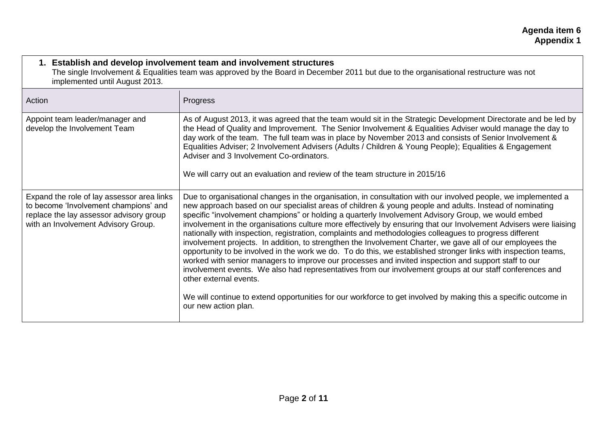| 1. Establish and develop involvement team and involvement structures<br>The single Involvement & Equalities team was approved by the Board in December 2011 but due to the organisational restructure was not<br>implemented until August 2013. |                                                                                                                                                                                                                                                                                                                                                                                                                                                                                                                                                                                                                                                                                                                                                                                                                                                                                                                                                                                                                                                                                                                                                                                         |
|-------------------------------------------------------------------------------------------------------------------------------------------------------------------------------------------------------------------------------------------------|-----------------------------------------------------------------------------------------------------------------------------------------------------------------------------------------------------------------------------------------------------------------------------------------------------------------------------------------------------------------------------------------------------------------------------------------------------------------------------------------------------------------------------------------------------------------------------------------------------------------------------------------------------------------------------------------------------------------------------------------------------------------------------------------------------------------------------------------------------------------------------------------------------------------------------------------------------------------------------------------------------------------------------------------------------------------------------------------------------------------------------------------------------------------------------------------|
| Action                                                                                                                                                                                                                                          | Progress                                                                                                                                                                                                                                                                                                                                                                                                                                                                                                                                                                                                                                                                                                                                                                                                                                                                                                                                                                                                                                                                                                                                                                                |
| Appoint team leader/manager and<br>develop the Involvement Team                                                                                                                                                                                 | As of August 2013, it was agreed that the team would sit in the Strategic Development Directorate and be led by<br>the Head of Quality and Improvement. The Senior Involvement & Equalities Adviser would manage the day to<br>day work of the team. The full team was in place by November 2013 and consists of Senior Involvement &<br>Equalities Adviser; 2 Involvement Advisers (Adults / Children & Young People); Equalities & Engagement<br>Adviser and 3 Involvement Co-ordinators.<br>We will carry out an evaluation and review of the team structure in 2015/16                                                                                                                                                                                                                                                                                                                                                                                                                                                                                                                                                                                                              |
| Expand the role of lay assessor area links<br>to become 'Involvement champions' and<br>replace the lay assessor advisory group<br>with an Involvement Advisory Group.                                                                           | Due to organisational changes in the organisation, in consultation with our involved people, we implemented a<br>new approach based on our specialist areas of children & young people and adults. Instead of nominating<br>specific "involvement champions" or holding a quarterly Involvement Advisory Group, we would embed<br>involvement in the organisations culture more effectively by ensuring that our Involvement Advisers were liaising<br>nationally with inspection, registration, complaints and methodologies colleagues to progress different<br>involvement projects. In addition, to strengthen the Involvement Charter, we gave all of our employees the<br>opportunity to be involved in the work we do. To do this, we established stronger links with inspection teams,<br>worked with senior managers to improve our processes and invited inspection and support staff to our<br>involvement events. We also had representatives from our involvement groups at our staff conferences and<br>other external events.<br>We will continue to extend opportunities for our workforce to get involved by making this a specific outcome in<br>our new action plan. |

 $\mathsf{r}$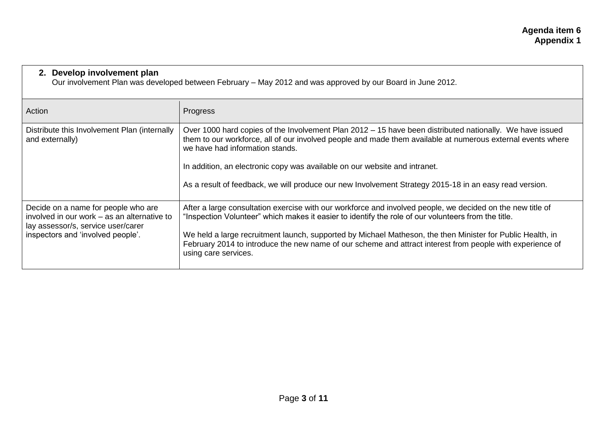### **2. Develop involvement plan**

Our involvement Plan was developed between February – May 2012 and was approved by our Board in June 2012.

| Action                                                                                                                   | Progress                                                                                                                                                                                                                                                   |
|--------------------------------------------------------------------------------------------------------------------------|------------------------------------------------------------------------------------------------------------------------------------------------------------------------------------------------------------------------------------------------------------|
| Distribute this Involvement Plan (internally<br>and externally)                                                          | Over 1000 hard copies of the Involvement Plan 2012 – 15 have been distributed nationally. We have issued<br>them to our workforce, all of our involved people and made them available at numerous external events where<br>we have had information stands. |
|                                                                                                                          | In addition, an electronic copy was available on our website and intranet.                                                                                                                                                                                 |
|                                                                                                                          | As a result of feedback, we will produce our new Involvement Strategy 2015-18 in an easy read version.                                                                                                                                                     |
| Decide on a name for people who are<br>involved in our work – as an alternative to<br>lay assessor/s, service user/carer | After a large consultation exercise with our workforce and involved people, we decided on the new title of<br>"Inspection Volunteer" which makes it easier to identify the role of our volunteers from the title.                                          |
| inspectors and 'involved people'.                                                                                        | We held a large recruitment launch, supported by Michael Matheson, the then Minister for Public Health, in<br>February 2014 to introduce the new name of our scheme and attract interest from people with experience of<br>using care services.            |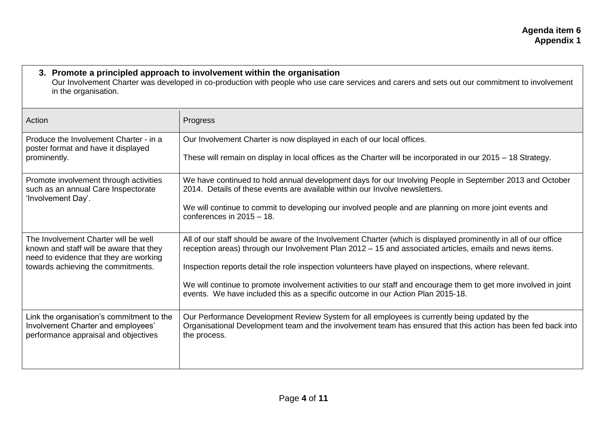| 3. Promote a principled approach to involvement within the organisation<br>Our Involvement Charter was developed in co-production with people who use care services and carers and sets out our commitment to involvement<br>in the organisation. |                                                                                                                                                                                                                             |
|---------------------------------------------------------------------------------------------------------------------------------------------------------------------------------------------------------------------------------------------------|-----------------------------------------------------------------------------------------------------------------------------------------------------------------------------------------------------------------------------|
| Action                                                                                                                                                                                                                                            | Progress                                                                                                                                                                                                                    |
| Produce the Involvement Charter - in a<br>poster format and have it displayed                                                                                                                                                                     | Our Involvement Charter is now displayed in each of our local offices.                                                                                                                                                      |
| prominently.                                                                                                                                                                                                                                      | These will remain on display in local offices as the Charter will be incorporated in our 2015 – 18 Strategy.                                                                                                                |
| Promote involvement through activities<br>such as an annual Care Inspectorate                                                                                                                                                                     | We have continued to hold annual development days for our Involving People in September 2013 and October<br>2014. Details of these events are available within our Involve newsletters.                                     |
| 'Involvement Day'.                                                                                                                                                                                                                                | We will continue to commit to developing our involved people and are planning on more joint events and<br>conferences in $2015 - 18$ .                                                                                      |
| The Involvement Charter will be well<br>known and staff will be aware that they                                                                                                                                                                   | All of our staff should be aware of the Involvement Charter (which is displayed prominently in all of our office<br>reception areas) through our Involvement Plan 2012 – 15 and associated articles, emails and news items. |
| need to evidence that they are working<br>towards achieving the commitments.                                                                                                                                                                      | Inspection reports detail the role inspection volunteers have played on inspections, where relevant.                                                                                                                        |
|                                                                                                                                                                                                                                                   | We will continue to promote involvement activities to our staff and encourage them to get more involved in joint<br>events. We have included this as a specific outcome in our Action Plan 2015-18.                         |

Our Performance Development Review System for all employees is currently being updated by the

Organisational Development team and the involvement team has ensured that this action has been fed back into

Link the organisation's commitment to the Involvement Charter and employees' performance appraisal and objectives

the process.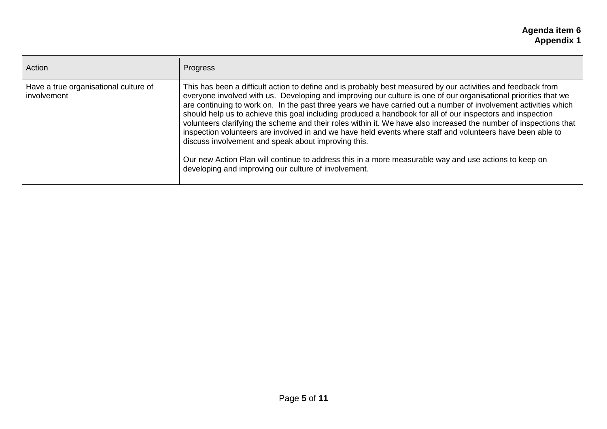| Action                                               | Progress                                                                                                                                                                                                                                                                                                                                                                                                                                                                                                                                                                                                                                                                                                                                                                                                                                                                                                                    |
|------------------------------------------------------|-----------------------------------------------------------------------------------------------------------------------------------------------------------------------------------------------------------------------------------------------------------------------------------------------------------------------------------------------------------------------------------------------------------------------------------------------------------------------------------------------------------------------------------------------------------------------------------------------------------------------------------------------------------------------------------------------------------------------------------------------------------------------------------------------------------------------------------------------------------------------------------------------------------------------------|
| Have a true organisational culture of<br>involvement | This has been a difficult action to define and is probably best measured by our activities and feedback from<br>everyone involved with us. Developing and improving our culture is one of our organisational priorities that we<br>are continuing to work on. In the past three years we have carried out a number of involvement activities which<br>should help us to achieve this goal including produced a handbook for all of our inspectors and inspection<br>volunteers clarifying the scheme and their roles within it. We have also increased the number of inspections that<br>inspection volunteers are involved in and we have held events where staff and volunteers have been able to<br>discuss involvement and speak about improving this.<br>Our new Action Plan will continue to address this in a more measurable way and use actions to keep on<br>developing and improving our culture of involvement. |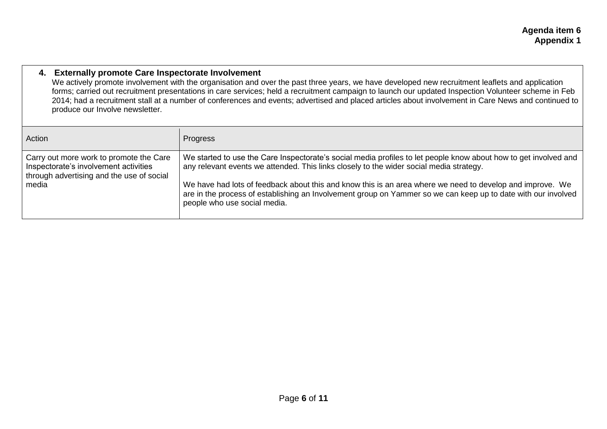## **4. Externally promote Care Inspectorate Involvement**

We actively promote involvement with the organisation and over the past three years, we have developed new recruitment leaflets and application forms; carried out recruitment presentations in care services; held a recruitment campaign to launch our updated Inspection Volunteer scheme in Feb 2014; had a recruitment stall at a number of conferences and events; advertised and placed articles about involvement in Care News and continued to produce our Involve newsletter.

| Action                                                                                                                        | Progress                                                                                                                                                                                                                                                   |
|-------------------------------------------------------------------------------------------------------------------------------|------------------------------------------------------------------------------------------------------------------------------------------------------------------------------------------------------------------------------------------------------------|
| Carry out more work to promote the Care<br>Inspectorate's involvement activities<br>through advertising and the use of social | We started to use the Care Inspectorate's social media profiles to let people know about how to get involved and<br>any relevant events we attended. This links closely to the wider social media strategy.                                                |
| media                                                                                                                         | We have had lots of feedback about this and know this is an area where we need to develop and improve. We<br>are in the process of establishing an Involvement group on Yammer so we can keep up to date with our involved<br>people who use social media. |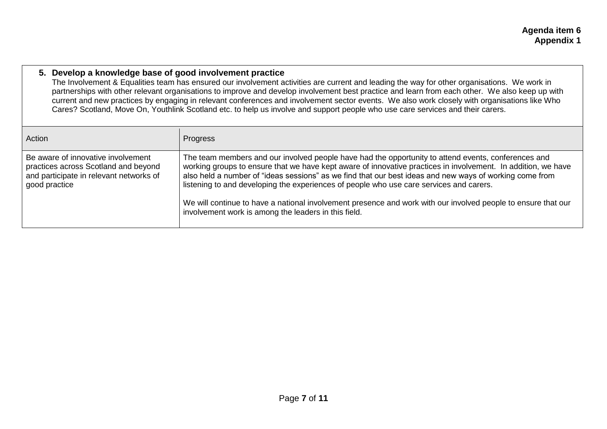#### **5. Develop a knowledge base of good involvement practice**

The Involvement & Equalities team has ensured our involvement activities are current and leading the way for other organisations. We work in partnerships with other relevant organisations to improve and develop involvement best practice and learn from each other. We also keep up with current and new practices by engaging in relevant conferences and involvement sector events. We also work closely with organisations like Who Cares? Scotland, Move On, Youthlink Scotland etc. to help us involve and support people who use care services and their carers.

| Action                                                                                                                                 | Progress                                                                                                                                                                                                                                                                                                                                                                                                                                                                                                                                                                                            |
|----------------------------------------------------------------------------------------------------------------------------------------|-----------------------------------------------------------------------------------------------------------------------------------------------------------------------------------------------------------------------------------------------------------------------------------------------------------------------------------------------------------------------------------------------------------------------------------------------------------------------------------------------------------------------------------------------------------------------------------------------------|
| Be aware of innovative involvement<br>practices across Scotland and beyond<br>and participate in relevant networks of<br>good practice | The team members and our involved people have had the opportunity to attend events, conferences and<br>working groups to ensure that we have kept aware of innovative practices in involvement. In addition, we have<br>also held a number of "ideas sessions" as we find that our best ideas and new ways of working come from<br>listening to and developing the experiences of people who use care services and carers.<br>We will continue to have a national involvement presence and work with our involved people to ensure that our<br>involvement work is among the leaders in this field. |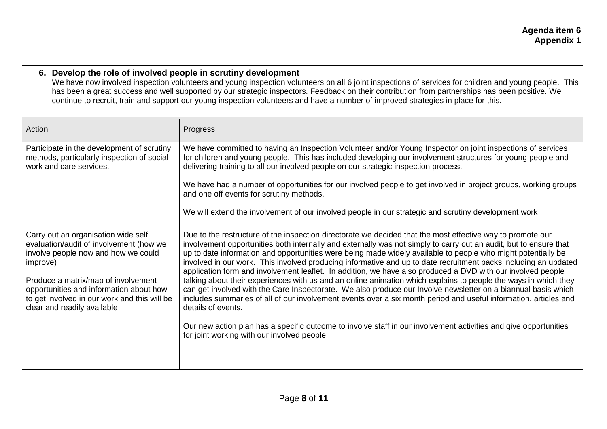### **6. Develop the role of involved people in scrutiny development**

We have now involved inspection volunteers and young inspection volunteers on all 6 joint inspections of services for children and young people. This has been a great success and well supported by our strategic inspectors. Feedback on their contribution from partnerships has been positive. We continue to recruit, train and support our young inspection volunteers and have a number of improved strategies in place for this.

| Action                                                                                                                                                                                                                                                                                             | Progress                                                                                                                                                                                                                                                                                                                                                                                                                                                                                                                                                                                                                                                                                                                                                                                                                                                                                                                                                                                                                                                                                                                           |
|----------------------------------------------------------------------------------------------------------------------------------------------------------------------------------------------------------------------------------------------------------------------------------------------------|------------------------------------------------------------------------------------------------------------------------------------------------------------------------------------------------------------------------------------------------------------------------------------------------------------------------------------------------------------------------------------------------------------------------------------------------------------------------------------------------------------------------------------------------------------------------------------------------------------------------------------------------------------------------------------------------------------------------------------------------------------------------------------------------------------------------------------------------------------------------------------------------------------------------------------------------------------------------------------------------------------------------------------------------------------------------------------------------------------------------------------|
| Participate in the development of scrutiny<br>methods, particularly inspection of social<br>work and care services.                                                                                                                                                                                | We have committed to having an Inspection Volunteer and/or Young Inspector on joint inspections of services<br>for children and young people. This has included developing our involvement structures for young people and<br>delivering training to all our involved people on our strategic inspection process.                                                                                                                                                                                                                                                                                                                                                                                                                                                                                                                                                                                                                                                                                                                                                                                                                  |
|                                                                                                                                                                                                                                                                                                    | We have had a number of opportunities for our involved people to get involved in project groups, working groups<br>and one off events for scrutiny methods.                                                                                                                                                                                                                                                                                                                                                                                                                                                                                                                                                                                                                                                                                                                                                                                                                                                                                                                                                                        |
|                                                                                                                                                                                                                                                                                                    | We will extend the involvement of our involved people in our strategic and scrutiny development work                                                                                                                                                                                                                                                                                                                                                                                                                                                                                                                                                                                                                                                                                                                                                                                                                                                                                                                                                                                                                               |
| Carry out an organisation wide self<br>evaluation/audit of involvement (how we<br>involve people now and how we could<br>improve)<br>Produce a matrix/map of involvement<br>opportunities and information about how<br>to get involved in our work and this will be<br>clear and readily available | Due to the restructure of the inspection directorate we decided that the most effective way to promote our<br>involvement opportunities both internally and externally was not simply to carry out an audit, but to ensure that<br>up to date information and opportunities were being made widely available to people who might potentially be<br>involved in our work. This involved producing informative and up to date recruitment packs including an updated<br>application form and involvement leaflet. In addition, we have also produced a DVD with our involved people<br>talking about their experiences with us and an online animation which explains to people the ways in which they<br>can get involved with the Care Inspectorate. We also produce our Involve newsletter on a biannual basis which<br>includes summaries of all of our involvement events over a six month period and useful information, articles and<br>details of events.<br>Our new action plan has a specific outcome to involve staff in our involvement activities and give opportunities<br>for joint working with our involved people. |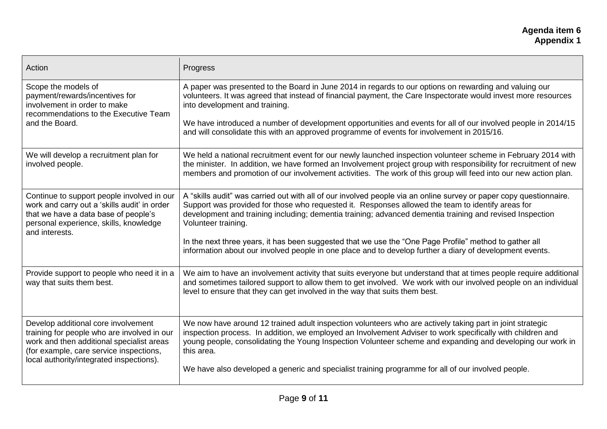| Action                                                                                                                                                                                                                 | Progress                                                                                                                                                                                                                                                                                                                                                                                                                                                                  |
|------------------------------------------------------------------------------------------------------------------------------------------------------------------------------------------------------------------------|---------------------------------------------------------------------------------------------------------------------------------------------------------------------------------------------------------------------------------------------------------------------------------------------------------------------------------------------------------------------------------------------------------------------------------------------------------------------------|
| Scope the models of<br>payment/rewards/incentives for<br>involvement in order to make<br>recommendations to the Executive Team<br>and the Board.                                                                       | A paper was presented to the Board in June 2014 in regards to our options on rewarding and valuing our<br>volunteers. It was agreed that instead of financial payment, the Care Inspectorate would invest more resources<br>into development and training.<br>We have introduced a number of development opportunities and events for all of our involved people in 2014/15<br>and will consolidate this with an approved programme of events for involvement in 2015/16. |
| We will develop a recruitment plan for                                                                                                                                                                                 | We held a national recruitment event for our newly launched inspection volunteer scheme in February 2014 with                                                                                                                                                                                                                                                                                                                                                             |
| involved people.                                                                                                                                                                                                       | the minister. In addition, we have formed an Involvement project group with responsibility for recruitment of new<br>members and promotion of our involvement activities. The work of this group will feed into our new action plan.                                                                                                                                                                                                                                      |
| Continue to support people involved in our<br>work and carry out a 'skills audit' in order<br>that we have a data base of people's<br>personal experience, skills, knowledge<br>and interests.                         | A "skills audit" was carried out with all of our involved people via an online survey or paper copy questionnaire.<br>Support was provided for those who requested it. Responses allowed the team to identify areas for<br>development and training including; dementia training; advanced dementia training and revised Inspection<br>Volunteer training.                                                                                                                |
|                                                                                                                                                                                                                        | In the next three years, it has been suggested that we use the "One Page Profile" method to gather all<br>information about our involved people in one place and to develop further a diary of development events.                                                                                                                                                                                                                                                        |
| Provide support to people who need it in a<br>way that suits them best.                                                                                                                                                | We aim to have an involvement activity that suits everyone but understand that at times people require additional<br>and sometimes tailored support to allow them to get involved. We work with our involved people on an individual<br>level to ensure that they can get involved in the way that suits them best.                                                                                                                                                       |
| Develop additional core involvement<br>training for people who are involved in our<br>work and then additional specialist areas<br>(for example, care service inspections,<br>local authority/integrated inspections). | We now have around 12 trained adult inspection volunteers who are actively taking part in joint strategic<br>inspection process. In addition, we employed an Involvement Adviser to work specifically with children and<br>young people, consolidating the Young Inspection Volunteer scheme and expanding and developing our work in<br>this area.                                                                                                                       |
|                                                                                                                                                                                                                        | We have also developed a generic and specialist training programme for all of our involved people.                                                                                                                                                                                                                                                                                                                                                                        |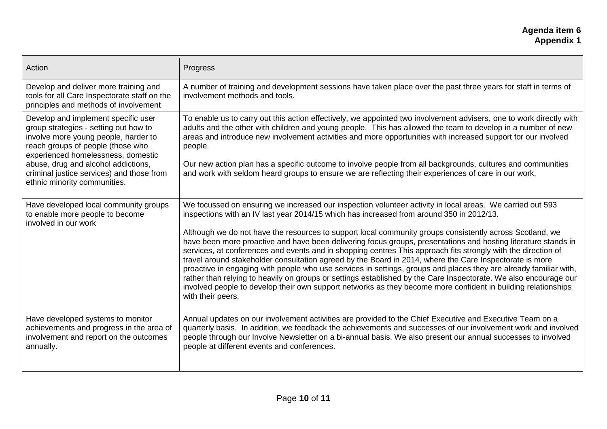## **Agenda item 6 Appendix 1**

| Action                                                                                                                                                                                          | Progress                                                                                                                                                                                                                                                                                                                                                                                                                                                                                                                                                                                                                                                                                                                                                                                                                              |
|-------------------------------------------------------------------------------------------------------------------------------------------------------------------------------------------------|---------------------------------------------------------------------------------------------------------------------------------------------------------------------------------------------------------------------------------------------------------------------------------------------------------------------------------------------------------------------------------------------------------------------------------------------------------------------------------------------------------------------------------------------------------------------------------------------------------------------------------------------------------------------------------------------------------------------------------------------------------------------------------------------------------------------------------------|
| Develop and deliver more training and<br>tools for all Care Inspectorate staff on the<br>principles and methods of involvement                                                                  | A number of training and development sessions have taken place over the past three years for staff in terms of<br>involvement methods and tools.                                                                                                                                                                                                                                                                                                                                                                                                                                                                                                                                                                                                                                                                                      |
| Develop and implement specific user<br>group strategies - setting out how to<br>involve more young people, harder to<br>reach groups of people (those who<br>experienced homelessness, domestic | To enable us to carry out this action effectively, we appointed two involvement advisers, one to work directly with<br>adults and the other with children and young people. This has allowed the team to develop in a number of new<br>areas and introduce new involvement activities and more opportunities with increased support for our involved<br>people.                                                                                                                                                                                                                                                                                                                                                                                                                                                                       |
| abuse, drug and alcohol addictions,<br>criminal justice services) and those from<br>ethnic minority communities.                                                                                | Our new action plan has a specific outcome to involve people from all backgrounds, cultures and communities<br>and work with seldom heard groups to ensure we are reflecting their experiences of care in our work.                                                                                                                                                                                                                                                                                                                                                                                                                                                                                                                                                                                                                   |
| Have developed local community groups<br>to enable more people to become<br>involved in our work                                                                                                | We focussed on ensuring we increased our inspection volunteer activity in local areas. We carried out 593<br>inspections with an IV last year 2014/15 which has increased from around 350 in 2012/13.                                                                                                                                                                                                                                                                                                                                                                                                                                                                                                                                                                                                                                 |
|                                                                                                                                                                                                 | Although we do not have the resources to support local community groups consistently across Scotland, we<br>have been more proactive and have been delivering focus groups, presentations and hosting literature stands in<br>services, at conferences and events and in shopping centres This approach fits strongly with the direction of<br>travel around stakeholder consultation agreed by the Board in 2014, where the Care Inspectorate is more<br>proactive in engaging with people who use services in settings, groups and places they are already familiar with,<br>rather than relying to heavily on groups or settings established by the Care Inspectorate. We also encourage our<br>involved people to develop their own support networks as they become more confident in building relationships<br>with their peers. |
| Have developed systems to monitor<br>achievements and progress in the area of<br>involvement and report on the outcomes<br>annually.                                                            | Annual updates on our involvement activities are provided to the Chief Executive and Executive Team on a<br>quarterly basis. In addition, we feedback the achievements and successes of our involvement work and involved<br>people through our Involve Newsletter on a bi-annual basis. We also present our annual successes to involved<br>people at different events and conferences.                                                                                                                                                                                                                                                                                                                                                                                                                                              |